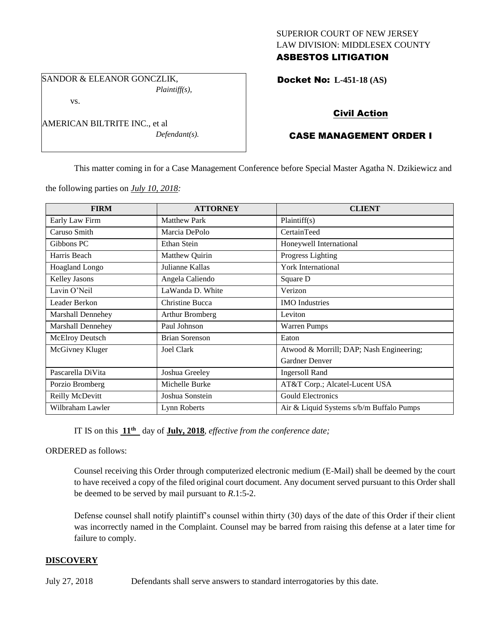## SUPERIOR COURT OF NEW JERSEY LAW DIVISION: MIDDLESEX COUNTY ASBESTOS LITIGATION

SANDOR & ELEANOR GONCZLIK, *Plaintiff(s),*

vs.

AMERICAN BILTRITE INC., et al *Defendant(s).* Docket No: **L-451-18 (AS)** 

# Civil Action

# CASE MANAGEMENT ORDER I

This matter coming in for a Case Management Conference before Special Master Agatha N. Dzikiewicz and

the following parties on *July 10, 2018:*

| <b>FIRM</b>              | <b>ATTORNEY</b>       | <b>CLIENT</b>                            |
|--------------------------|-----------------------|------------------------------------------|
| Early Law Firm           | <b>Matthew Park</b>   | Plaintiff(s)                             |
| Caruso Smith             | Marcia DePolo         | CertainTeed                              |
| Gibbons PC               | Ethan Stein           | Honeywell International                  |
| Harris Beach             | Matthew Quirin        | Progress Lighting                        |
| <b>Hoagland Longo</b>    | Julianne Kallas       | <b>York International</b>                |
| Kelley Jasons            | Angela Caliendo       | Square D                                 |
| Lavin O'Neil             | LaWanda D. White      | Verizon                                  |
| Leader Berkon            | Christine Bucca       | <b>IMO</b> Industries                    |
| <b>Marshall Dennehey</b> | Arthur Bromberg       | Leviton                                  |
| <b>Marshall Dennehey</b> | Paul Johnson          | <b>Warren Pumps</b>                      |
| McElroy Deutsch          | <b>Brian Sorenson</b> | Eaton                                    |
| McGivney Kluger          | Joel Clark            | Atwood & Morrill; DAP; Nash Engineering; |
|                          |                       | Gardner Denver                           |
| Pascarella DiVita        | Joshua Greeley        | <b>Ingersoll Rand</b>                    |
| Porzio Bromberg          | Michelle Burke        | AT&T Corp.; Alcatel-Lucent USA           |
| Reilly McDevitt          | Joshua Sonstein       | <b>Gould Electronics</b>                 |
| Wilbraham Lawler         | Lynn Roberts          | Air & Liquid Systems s/b/m Buffalo Pumps |

IT IS on this **11th** day of **July, 2018**, *effective from the conference date;*

ORDERED as follows:

Counsel receiving this Order through computerized electronic medium (E-Mail) shall be deemed by the court to have received a copy of the filed original court document. Any document served pursuant to this Order shall be deemed to be served by mail pursuant to *R*.1:5-2.

Defense counsel shall notify plaintiff's counsel within thirty (30) days of the date of this Order if their client was incorrectly named in the Complaint. Counsel may be barred from raising this defense at a later time for failure to comply.

## **DISCOVERY**

July 27, 2018 Defendants shall serve answers to standard interrogatories by this date.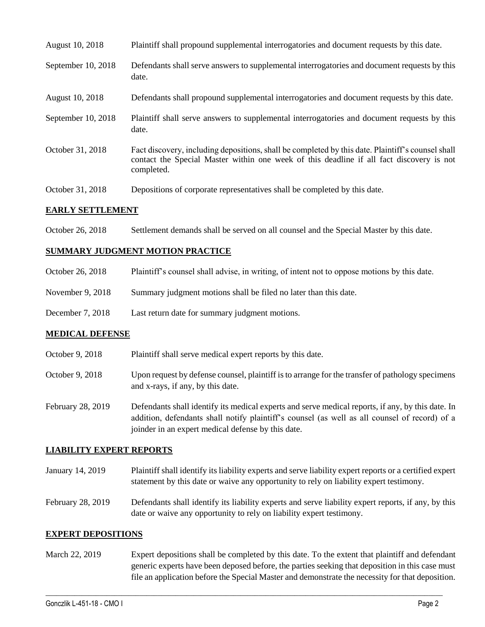| August 10, 2018    | Plaintiff shall propound supplemental interrogatories and document requests by this date.                                                                                                                   |
|--------------------|-------------------------------------------------------------------------------------------------------------------------------------------------------------------------------------------------------------|
| September 10, 2018 | Defendants shall serve answers to supplemental interrogatories and document requests by this<br>date.                                                                                                       |
| August 10, 2018    | Defendants shall propound supplemental interrogatories and document requests by this date.                                                                                                                  |
| September 10, 2018 | Plaintiff shall serve answers to supplemental interrogatories and document requests by this<br>date.                                                                                                        |
| October 31, 2018   | Fact discovery, including depositions, shall be completed by this date. Plaintiff's counsel shall<br>contact the Special Master within one week of this deadline if all fact discovery is not<br>completed. |
| October 31, 2018   | Depositions of corporate representatives shall be completed by this date.                                                                                                                                   |
|                    |                                                                                                                                                                                                             |

#### **EARLY SETTLEMENT**

October 26, 2018 Settlement demands shall be served on all counsel and the Special Master by this date.

#### **SUMMARY JUDGMENT MOTION PRACTICE**

| October 26, 2018   | Plaintiff's counsel shall advise, in writing, of intent not to oppose motions by this date. |
|--------------------|---------------------------------------------------------------------------------------------|
| November $9, 2018$ | Summary judgment motions shall be filed no later than this date.                            |
| December 7, 2018   | Last return date for summary judgment motions.                                              |

## **MEDICAL DEFENSE**

| October 9, 2018 | Plaintiff shall serve medical expert reports by this date.                                                                            |
|-----------------|---------------------------------------------------------------------------------------------------------------------------------------|
| October 9, 2018 | Upon request by defense counsel, plaintiff is to arrange for the transfer of pathology specimens<br>and x-rays, if any, by this date. |

February 28, 2019 Defendants shall identify its medical experts and serve medical reports, if any, by this date. In addition, defendants shall notify plaintiff's counsel (as well as all counsel of record) of a joinder in an expert medical defense by this date.

## **LIABILITY EXPERT REPORTS**

January 14, 2019 Plaintiff shall identify its liability experts and serve liability expert reports or a certified expert statement by this date or waive any opportunity to rely on liability expert testimony.

February 28, 2019 Defendants shall identify its liability experts and serve liability expert reports, if any, by this date or waive any opportunity to rely on liability expert testimony.

#### **EXPERT DEPOSITIONS**

March 22, 2019 Expert depositions shall be completed by this date. To the extent that plaintiff and defendant generic experts have been deposed before, the parties seeking that deposition in this case must file an application before the Special Master and demonstrate the necessity for that deposition.

 $\_$  ,  $\_$  ,  $\_$  ,  $\_$  ,  $\_$  ,  $\_$  ,  $\_$  ,  $\_$  ,  $\_$  ,  $\_$  ,  $\_$  ,  $\_$  ,  $\_$  ,  $\_$  ,  $\_$  ,  $\_$  ,  $\_$  ,  $\_$  ,  $\_$  ,  $\_$  ,  $\_$  ,  $\_$  ,  $\_$  ,  $\_$  ,  $\_$  ,  $\_$  ,  $\_$  ,  $\_$  ,  $\_$  ,  $\_$  ,  $\_$  ,  $\_$  ,  $\_$  ,  $\_$  ,  $\_$  ,  $\_$  ,  $\_$  ,